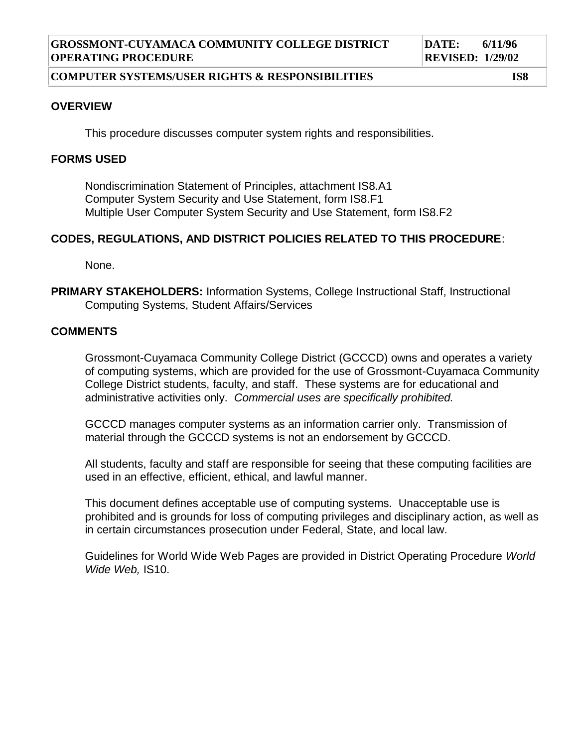#### **COMPUTER SYSTEMS/USER RIGHTS & RESPONSIBILITIES IS8**

#### **OVERVIEW**

This procedure discusses computer system rights and responsibilities.

## **FORMS USED**

Nondiscrimination Statement of Principles, attachment IS8.A1 Computer System Security and Use Statement, form IS8.F1 Multiple User Computer System Security and Use Statement, form IS8.F2

## **CODES, REGULATIONS, AND DISTRICT POLICIES RELATED TO THIS PROCEDURE**:

None.

**PRIMARY STAKEHOLDERS:** Information Systems, College Instructional Staff, Instructional Computing Systems, Student Affairs/Services

#### **COMMENTS**

Grossmont-Cuyamaca Community College District (GCCCD) owns and operates a variety of computing systems, which are provided for the use of Grossmont-Cuyamaca Community College District students, faculty, and staff. These systems are for educational and administrative activities only. *Commercial uses are specifically prohibited.*

GCCCD manages computer systems as an information carrier only. Transmission of material through the GCCCD systems is not an endorsement by GCCCD.

All students, faculty and staff are responsible for seeing that these computing facilities are used in an effective, efficient, ethical, and lawful manner.

This document defines acceptable use of computing systems. Unacceptable use is prohibited and is grounds for loss of computing privileges and disciplinary action, as well as in certain circumstances prosecution under Federal, State, and local law.

Guidelines for World Wide Web Pages are provided in District Operating Procedure *World Wide Web,* IS10.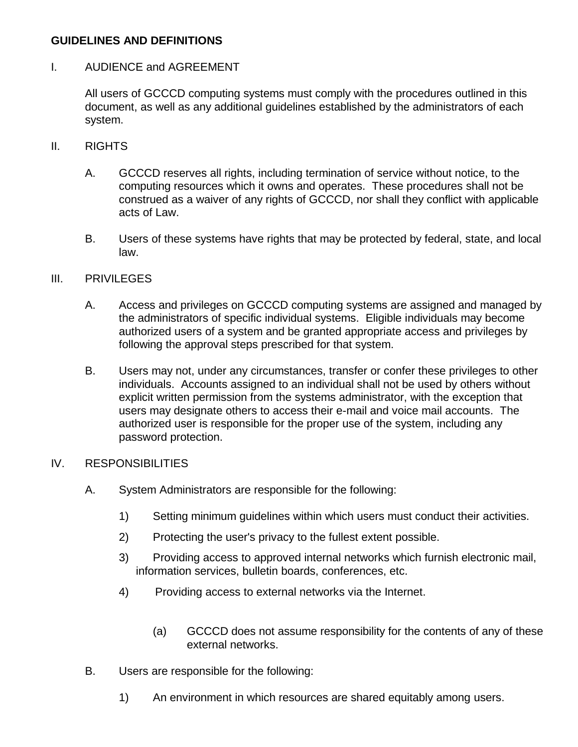# **GUIDELINES AND DEFINITIONS**

# I. AUDIENCE and AGREEMENT

All users of GCCCD computing systems must comply with the procedures outlined in this document, as well as any additional guidelines established by the administrators of each system.

## II. RIGHTS

- A. GCCCD reserves all rights, including termination of service without notice, to the computing resources which it owns and operates. These procedures shall not be construed as a waiver of any rights of GCCCD, nor shall they conflict with applicable acts of Law.
- B. Users of these systems have rights that may be protected by federal, state, and local law.

## III. PRIVILEGES

- A. Access and privileges on GCCCD computing systems are assigned and managed by the administrators of specific individual systems. Eligible individuals may become authorized users of a system and be granted appropriate access and privileges by following the approval steps prescribed for that system.
- B. Users may not, under any circumstances, transfer or confer these privileges to other individuals. Accounts assigned to an individual shall not be used by others without explicit written permission from the systems administrator, with the exception that users may designate others to access their e-mail and voice mail accounts. The authorized user is responsible for the proper use of the system, including any password protection.

## IV. RESPONSIBILITIES

- A. System Administrators are responsible for the following:
	- 1) Setting minimum guidelines within which users must conduct their activities.
	- 2) Protecting the user's privacy to the fullest extent possible.
	- 3) Providing access to approved internal networks which furnish electronic mail, information services, bulletin boards, conferences, etc.
	- 4) Providing access to external networks via the Internet.
		- (a) GCCCD does not assume responsibility for the contents of any of these external networks.
- B. Users are responsible for the following:
	- 1) An environment in which resources are shared equitably among users.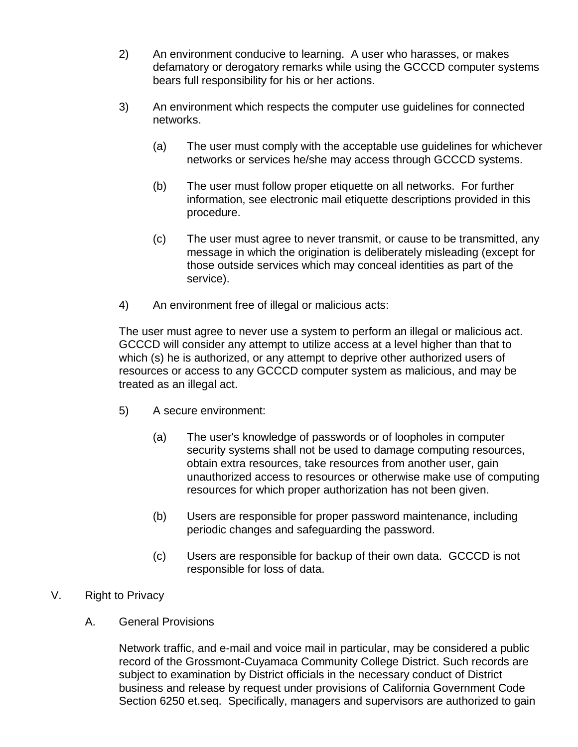- 2) An environment conducive to learning. A user who harasses, or makes defamatory or derogatory remarks while using the GCCCD computer systems bears full responsibility for his or her actions.
- 3) An environment which respects the computer use guidelines for connected networks.
	- (a) The user must comply with the acceptable use guidelines for whichever networks or services he/she may access through GCCCD systems.
	- (b) The user must follow proper etiquette on all networks. For further information, see electronic mail etiquette descriptions provided in this procedure.
	- (c) The user must agree to never transmit, or cause to be transmitted, any message in which the origination is deliberately misleading (except for those outside services which may conceal identities as part of the service).
- 4) An environment free of illegal or malicious acts:

The user must agree to never use a system to perform an illegal or malicious act. GCCCD will consider any attempt to utilize access at a level higher than that to which (s) he is authorized, or any attempt to deprive other authorized users of resources or access to any GCCCD computer system as malicious, and may be treated as an illegal act.

- 5) A secure environment:
	- (a) The user's knowledge of passwords or of loopholes in computer security systems shall not be used to damage computing resources, obtain extra resources, take resources from another user, gain unauthorized access to resources or otherwise make use of computing resources for which proper authorization has not been given.
	- (b) Users are responsible for proper password maintenance, including periodic changes and safeguarding the password.
	- (c) Users are responsible for backup of their own data. GCCCD is not responsible for loss of data.
- V. Right to Privacy
	- A. General Provisions

Network traffic, and e-mail and voice mail in particular, may be considered a public record of the Grossmont-Cuyamaca Community College District. Such records are subject to examination by District officials in the necessary conduct of District business and release by request under provisions of California Government Code Section 6250 et.seq. Specifically, managers and supervisors are authorized to gain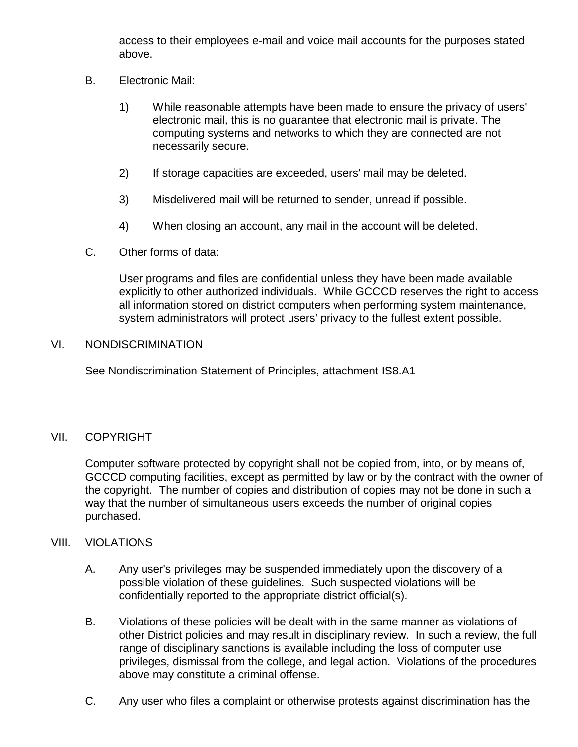access to their employees e-mail and voice mail accounts for the purposes stated above.

- B. Electronic Mail:
	- 1) While reasonable attempts have been made to ensure the privacy of users' electronic mail, this is no guarantee that electronic mail is private. The computing systems and networks to which they are connected are not necessarily secure.
	- 2) If storage capacities are exceeded, users' mail may be deleted.
	- 3) Misdelivered mail will be returned to sender, unread if possible.
	- 4) When closing an account, any mail in the account will be deleted.
- C. Other forms of data:

User programs and files are confidential unless they have been made available explicitly to other authorized individuals. While GCCCD reserves the right to access all information stored on district computers when performing system maintenance, system administrators will protect users' privacy to the fullest extent possible.

#### VI. NONDISCRIMINATION

See Nondiscrimination Statement of Principles, attachment IS8.A1

## VII. COPYRIGHT

Computer software protected by copyright shall not be copied from, into, or by means of, GCCCD computing facilities, except as permitted by law or by the contract with the owner of the copyright. The number of copies and distribution of copies may not be done in such a way that the number of simultaneous users exceeds the number of original copies purchased.

## VIII. VIOLATIONS

- A. Any user's privileges may be suspended immediately upon the discovery of a possible violation of these guidelines. Such suspected violations will be confidentially reported to the appropriate district official(s).
- B. Violations of these policies will be dealt with in the same manner as violations of other District policies and may result in disciplinary review. In such a review, the full range of disciplinary sanctions is available including the loss of computer use privileges, dismissal from the college, and legal action. Violations of the procedures above may constitute a criminal offense.
- C. Any user who files a complaint or otherwise protests against discrimination has the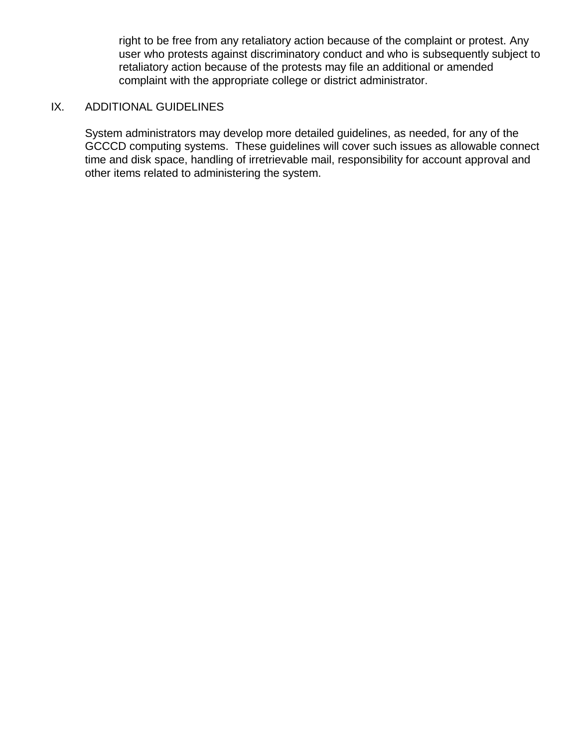right to be free from any retaliatory action because of the complaint or protest. Any user who protests against discriminatory conduct and who is subsequently subject to retaliatory action because of the protests may file an additional or amended complaint with the appropriate college or district administrator.

# IX. ADDITIONAL GUIDELINES

System administrators may develop more detailed guidelines, as needed, for any of the GCCCD computing systems. These guidelines will cover such issues as allowable connect time and disk space, handling of irretrievable mail, responsibility for account approval and other items related to administering the system.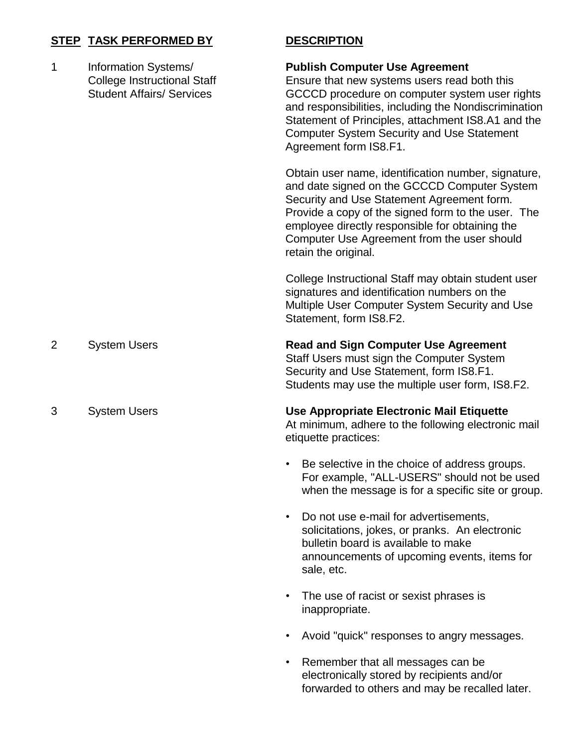# **STEP TASK PERFORMED BY DESCRIPTION**

| 1 | Information Systems/<br><b>College Instructional Staff</b><br><b>Student Affairs/ Services</b> | <b>Publish Computer Use Agreement</b><br>Ensure that new systems users read both this<br>GCCCD procedure on computer system user rights<br>and responsibilities, including the Nondiscrimination<br>Statement of Principles, attachment IS8.A1 and the<br><b>Computer System Security and Use Statement</b><br>Agreement form IS8.F1. |
|---|------------------------------------------------------------------------------------------------|---------------------------------------------------------------------------------------------------------------------------------------------------------------------------------------------------------------------------------------------------------------------------------------------------------------------------------------|
|   |                                                                                                | Obtain user name, identification number, signature,<br>and date signed on the GCCCD Computer System<br>Security and Use Statement Agreement form.<br>Provide a copy of the signed form to the user. The<br>employee directly responsible for obtaining the<br>Computer Use Agreement from the user should<br>retain the original.     |
|   |                                                                                                | College Instructional Staff may obtain student user<br>signatures and identification numbers on the<br>Multiple User Computer System Security and Use<br>Statement, form IS8.F2.                                                                                                                                                      |
| 2 | <b>System Users</b>                                                                            | <b>Read and Sign Computer Use Agreement</b><br>Staff Users must sign the Computer System<br>Security and Use Statement, form IS8.F1.<br>Students may use the multiple user form, IS8.F2.                                                                                                                                              |
| 3 | <b>System Users</b>                                                                            | Use Appropriate Electronic Mail Etiquette<br>At minimum, adhere to the following electronic mail<br>etiquette practices:                                                                                                                                                                                                              |
|   |                                                                                                | Be selective in the choice of address groups.<br>For example, "ALL-USERS" should not be used<br>when the message is for a specific site or group.                                                                                                                                                                                     |
|   |                                                                                                | Do not use e-mail for advertisements,<br>$\bullet$<br>solicitations, jokes, or pranks. An electronic<br>bulletin board is available to make<br>announcements of upcoming events, items for<br>sale, etc.                                                                                                                              |
|   |                                                                                                | The use of racist or sexist phrases is<br>$\bullet$<br>inappropriate.                                                                                                                                                                                                                                                                 |
|   |                                                                                                | Avoid "quick" responses to angry messages.<br>٠                                                                                                                                                                                                                                                                                       |

• Remember that all messages can be electronically stored by recipients and/or forwarded to others and may be recalled later.